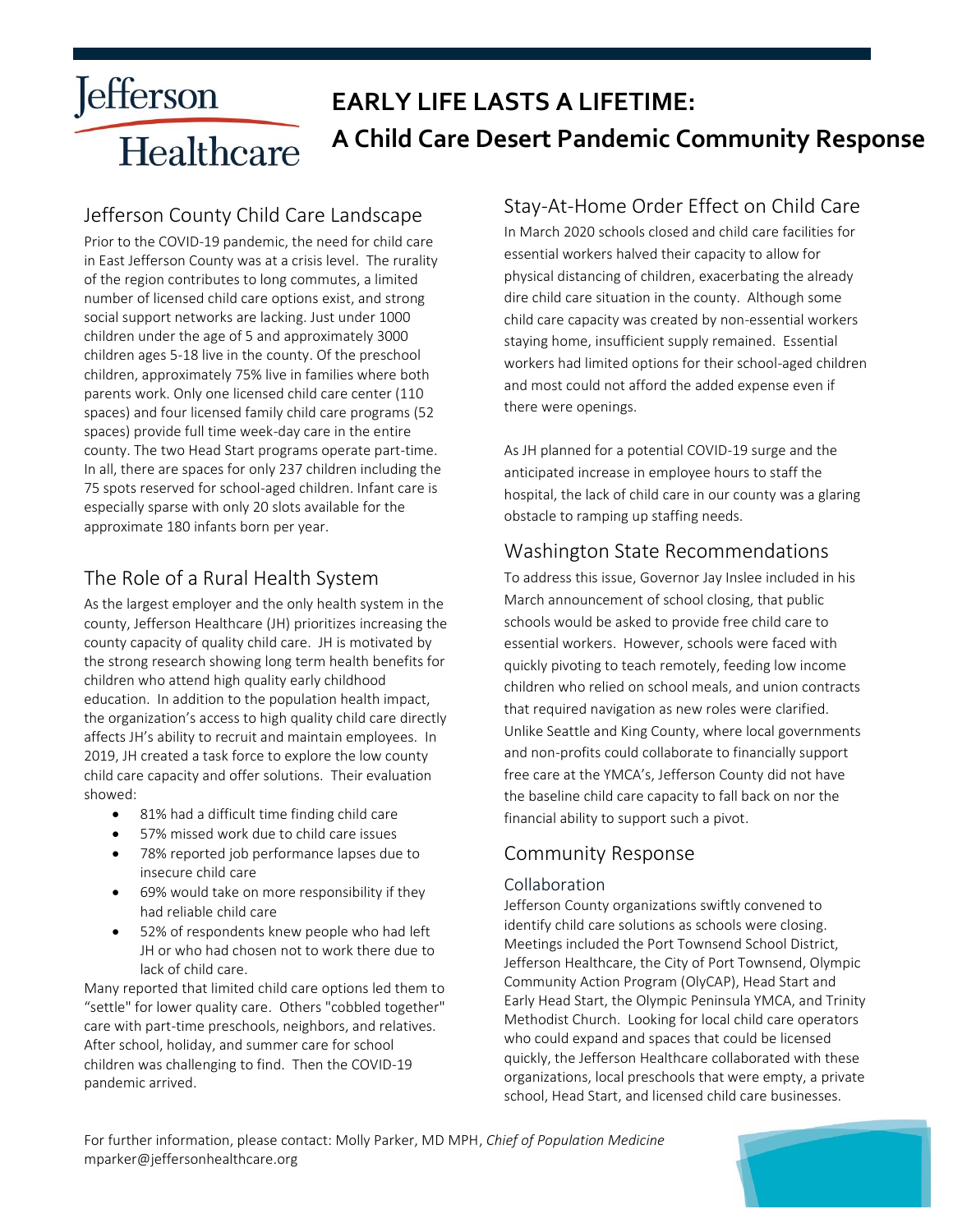# **Jefferson EARLY LIFE LASTS A LIFETIME: A Child Care Desert Pandemic Community Response** Healthcare

### Jefferson County Child Care Landscape

Prior to the COVID-19 pandemic, the need for child care in East Jefferson County was at a crisis level. The rurality of the region contributes to long commutes, a limited number of licensed child care options exist, and strong social support networks are lacking. Just under 1000 children under the age of 5 and approximately 3000 children ages 5-18 live in the county. Of the preschool children, approximately 75% live in families where both parents work. Only one licensed child care center (110 spaces) and four licensed family child care programs (52 spaces) provide full time week-day care in the entire county. The two Head Start programs operate part-time. In all, there are spaces for only 237 children including the 75 spots reserved for school-aged children. Infant care is especially sparse with only 20 slots available for the approximate 180 infants born per year.

# The Role of a Rural Health System

As the largest employer and the only health system in the county, Jefferson Healthcare (JH) prioritizes increasing the county capacity of quality child care. JH is motivated by the strong research showing long term health benefits for children who attend high quality early childhood education. In addition to the population health impact, the organization's access to high quality child care directly affects JH's ability to recruit and maintain employees. In 2019, JH created a task force to explore the low county child care capacity and offer solutions. Their evaluation showed:

- 81% had a difficult time finding child care
- 57% missed work due to child care issues
- 78% reported job performance lapses due to insecure child care
- 69% would take on more responsibility if they had reliable child care
- 52% of respondents knew people who had left JH or who had chosen not to work there due to lack of child care.

Many reported that limited child care options led them to "settle" for lower quality care. Others "cobbled together" care with part-time preschools, neighbors, and relatives. After school, holiday, and summer care for school children was challenging to find. Then the COVID-19 pandemic arrived.

### Stay-At-Home Order Effect on Child Care

In March 2020 schools closed and child care facilities for essential workers halved their capacity to allow for physical distancing of children, exacerbating the already dire child care situation in the county. Although some child care capacity was created by non-essential workers staying home, insufficient supply remained. Essential workers had limited options for their school-aged children and most could not afford the added expense even if there were openings.

As JH planned for a potential COVID-19 surge and the anticipated increase in employee hours to staff the hospital, the lack of child care in our county was a glaring obstacle to ramping up staffing needs.

### Washington State Recommendations

To address this issue, Governor Jay Inslee included in his March announcement of school closing, that public schools would be asked to provide free child care to essential workers. However, schools were faced with quickly pivoting to teach remotely, feeding low income children who relied on school meals, and union contracts that required navigation as new roles were clarified. Unlike Seattle and King County, where local governments and non-profits could collaborate to financially support free care at the YMCA's, Jefferson County did not have the baseline child care capacity to fall back on nor the financial ability to support such a pivot.

### Community Response

### Collaboration

Jefferson County organizations swiftly convened to identify child care solutions as schools were closing. Meetings included the Port Townsend School District, Jefferson Healthcare, the City of Port Townsend, Olympic Community Action Program (OlyCAP), Head Start and Early Head Start, the Olympic Peninsula YMCA, and Trinity Methodist Church. Looking for local child care operators who could expand and spaces that could be licensed quickly, the Jefferson Healthcare collaborated with these organizations, local preschools that were empty, a private school, Head Start, and licensed child care businesses.

For further information, please contact: Molly Parker, MD MPH, *Chief of Population Medicine* mparker@jeffersonhealthcare.org